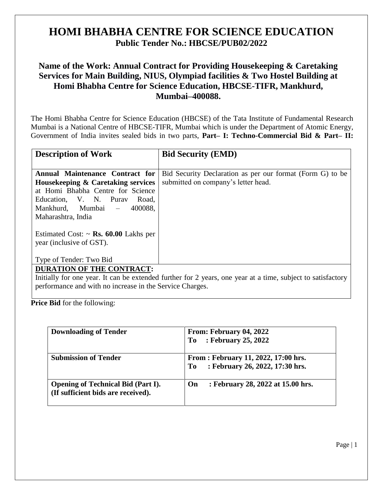## **HOMI BHABHA CENTRE FOR SCIENCE EDUCATION Public Tender No.: HBCSE/PUB02/2022**

## **Name of the Work: Annual Contract for Providing Housekeeping & Caretaking Services for Main Building, NIUS, Olympiad facilities & Two Hostel Building at Homi Bhabha Centre for Science Education, HBCSE-TIFR, Mankhurd, Mumbai–400088.**

The Homi Bhabha Centre for Science Education (HBCSE) of the Tata Institute of Fundamental Research Mumbai is a National Centre of HBCSE-TIFR, Mumbai which is under the Department of Atomic Energy, Government of India invites sealed bids in two parts, **Part– I: Techno-Commercial Bid & Part– II:** 

| <b>Description of Work</b>                                                                                 | <b>Bid Security (EMD)</b>                                                                        |  |  |
|------------------------------------------------------------------------------------------------------------|--------------------------------------------------------------------------------------------------|--|--|
| Annual Maintenance Contract for<br>Housekeeping & Caretaking services<br>at Homi Bhabha Centre for Science | Bid Security Declaration as per our format (Form G) to be<br>submitted on company's letter head. |  |  |
| Education, V. N. Purav<br>Road.<br>Mankhurd, Mumbai - 400088,<br>Maharashtra, India                        |                                                                                                  |  |  |
| Estimated Cost: $\sim$ <b>Rs. 60.00</b> Lakhs per<br>year (inclusive of GST).                              |                                                                                                  |  |  |
| Type of Tender: Two Bid                                                                                    |                                                                                                  |  |  |
| <b>DURATION OF THE CONTRACT:</b>                                                                           |                                                                                                  |  |  |

Initially for one year. It can be extended further for 2 years, one year at a time, subject to satisfactory performance and with no increase in the Service Charges.

**Price Bid** for the following:

| <b>Downloading of Tender</b>                                                    | From: February 04, 2022<br>: February 25, 2022<br>To                          |
|---------------------------------------------------------------------------------|-------------------------------------------------------------------------------|
| <b>Submission of Tender</b>                                                     | From : February 11, 2022, 17:00 hrs.<br>: February 26, 2022, 17:30 hrs.<br>To |
| <b>Opening of Technical Bid (Part I).</b><br>(If sufficient bids are received). | : February 28, 2022 at 15.00 hrs.<br>On                                       |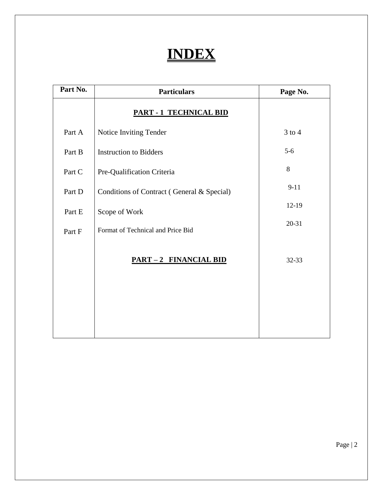# **INDEX**

| Part No. | <b>Particulars</b>                         | Page No.   |
|----------|--------------------------------------------|------------|
|          | <b>PART - 1 TECHNICAL BID</b>              |            |
| Part A   | Notice Inviting Tender                     | $3$ to $4$ |
| Part B   | <b>Instruction to Bidders</b>              | $5-6$      |
| Part C   | Pre-Qualification Criteria                 | 8          |
| Part D   | Conditions of Contract (General & Special) | $9 - 11$   |
| Part E   | Scope of Work                              | $12-19$    |
| Part F   | Format of Technical and Price Bid          | 20-31      |
|          | <b>PART-2 FINANCIAL BID</b>                | 32-33      |
|          |                                            |            |

Page | 2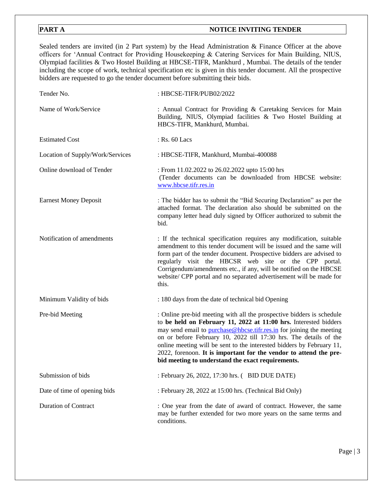### **PART A** NOTICE INVITING TENDER

Sealed tenders are invited (in 2 Part system) by the Head Administration & Finance Officer at the above officers for 'Annual Contract for Providing Housekeeping & Catering Services for Main Building, NIUS, Olympiad facilities & Two Hostel Building at HBCSE-TIFR, Mankhurd , Mumbai. The details of the tender including the scope of work, technical specification etc is given in this tender document. All the prospective bidders are requested to go the tender document before submitting their bids.

| Tender No.                       | : HBCSE-TIFR/PUB02/2022                                                                                                                                                                                                                                                                                                                                                                                                                                                                   |
|----------------------------------|-------------------------------------------------------------------------------------------------------------------------------------------------------------------------------------------------------------------------------------------------------------------------------------------------------------------------------------------------------------------------------------------------------------------------------------------------------------------------------------------|
| Name of Work/Service             | : Annual Contract for Providing & Caretaking Services for Main<br>Building, NIUS, Olympiad facilities & Two Hostel Building at<br>HBCS-TIFR, Mankhurd, Mumbai.                                                                                                                                                                                                                                                                                                                            |
| <b>Estimated Cost</b>            | : Rs. 60 Lacs                                                                                                                                                                                                                                                                                                                                                                                                                                                                             |
| Location of Supply/Work/Services | : HBCSE-TIFR, Mankhurd, Mumbai-400088                                                                                                                                                                                                                                                                                                                                                                                                                                                     |
| Online download of Tender        | : From 11.02.2022 to 26.02.2022 upto 15:00 hrs<br>(Tender documents can be downloaded from HBCSE website:<br>www.hbcse.tifr.res.in                                                                                                                                                                                                                                                                                                                                                        |
| <b>Earnest Money Deposit</b>     | : The bidder has to submit the "Bid Securing Declaration" as per the<br>attached format. The declaration also should be submitted on the<br>company letter head duly signed by Officer authorized to submit the<br>bid.                                                                                                                                                                                                                                                                   |
| Notification of amendments       | : If the technical specification requires any modification, suitable<br>amendment to this tender document will be issued and the same will<br>form part of the tender document. Prospective bidders are advised to<br>regularly visit the HBCSR web site or the CPP portal.<br>Corrigendum/amendments etc., if any, will be notified on the HBCSE<br>website/ CPP portal and no separated advertisement will be made for<br>this.                                                         |
| Minimum Validity of bids         | : 180 days from the date of technical bid Opening                                                                                                                                                                                                                                                                                                                                                                                                                                         |
| Pre-bid Meeting                  | : Online pre-bid meeting with all the prospective bidders is schedule<br>to be held on February 11, 2022 at 11:00 hrs. Interested bidders<br>may send email to purchase@hbcse.tifr.res.in for joining the meeting<br>on or before February 10, 2022 till 17:30 hrs. The details of the<br>online meeting will be sent to the interested bidders by February 11,<br>2022, forenoon. It is important for the vendor to attend the pre-<br>bid meeting to understand the exact requirements. |
| Submission of bids               | : February 26, 2022, 17:30 hrs. (BID DUE DATE)                                                                                                                                                                                                                                                                                                                                                                                                                                            |
| Date of time of opening bids     | : February 28, 2022 at 15:00 hrs. (Technical Bid Only)                                                                                                                                                                                                                                                                                                                                                                                                                                    |
| <b>Duration of Contract</b>      | : One year from the date of award of contract. However, the same<br>may be further extended for two more years on the same terms and<br>conditions.                                                                                                                                                                                                                                                                                                                                       |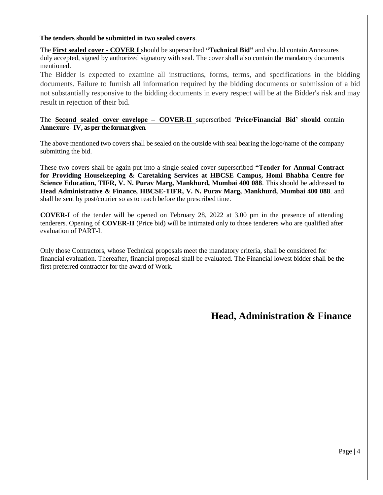#### **The tenders should be submitted in two sealed covers**.

The **First sealed cover - COVER I** should be superscribed **"Technical Bid"** and should contain Annexures duly accepted, signed by authorized signatory with seal. The cover shall also contain the mandatory documents mentioned.

The Bidder is expected to examine all instructions, forms, terms, and specifications in the bidding documents. Failure to furnish all information required by the bidding documents or submission of a bid not substantially responsive to the bidding documents in every respect will be at the Bidder's risk and may result in rejection of their bid.

#### The **Second sealed cover envelope – COVER-II** superscribed '**Price/Financial Bid' should** contain **Annexure- IV, as per the format given**.

The above mentioned two covers shall be sealed on the outside with seal bearing the logo/name of the company submitting the bid.

These two covers shall be again put into a single sealed cover superscribed **"Tender for Annual Contract for Providing Housekeeping & Caretaking Services at HBCSE Campus, Homi Bhabha Centre for Science Education, TIFR, V. N. Purav Marg, Mankhurd, Mumbai 400 088**. This should be addressed **to Head Administrative & Finance, HBCSE-TIFR, V. N. Purav Marg, Mankhurd, Mumbai 400 088**. and shall be sent by post/courier so as to reach before the prescribed time.

**COVER-I** of the tender will be opened on February 28, 2022 at 3.00 pm in the presence of attending tenderers. Opening of **COVER-II** (Price bid) will be intimated only to those tenderers who are qualified after evaluation of PART-I.

Only those Contractors, whose Technical proposals meet the mandatory criteria, shall be considered for financial evaluation. Thereafter, financial proposal shall be evaluated. The Financial lowest bidder shall be the first preferred contractor for the award of Work.

## **Head, Administration & Finance**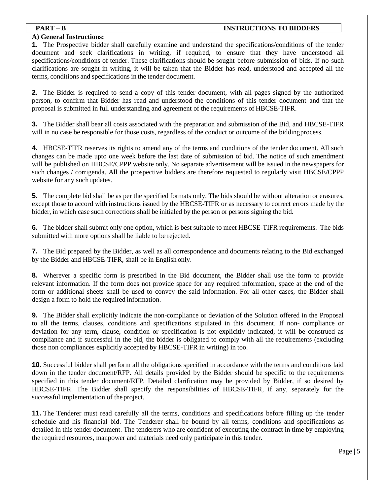#### **PART – B** INSTRUCTIONS TO BIDDERS

#### **A) General Instructions:**

**1.** The Prospective bidder shall carefully examine and understand the specifications/conditions of the tender document and seek clarifications in writing, if required, to ensure that they have understood all specifications/conditions of tender. These clarifications should be sought before submission of bids. If no such clarifications are sought in writing, it will be taken that the Bidder has read, understood and accepted all the terms, conditions and specifications in the tender document.

**2.** The Bidder is required to send a copy of this tender document, with all pages signed by the authorized person, to confirm that Bidder has read and understood the conditions of this tender document and that the proposal is submitted in full understanding and agreement of the requirements of HBCSE-TIFR.

**3.** The Bidder shall bear all costs associated with the preparation and submission of the Bid, and HBCSE-TIFR will in no case be responsible for those costs, regardless of the conduct or outcome of the biddingprocess.

**4.** HBCSE-TIFR reserves its rights to amend any of the terms and conditions of the tender document. All such changes can be made upto one week before the last date of submission of bid. The notice of such amendment will be published on HBCSE/CPPP website only. No separate advertisement will be issued in the newspapers for such changes / corrigenda. All the prospective bidders are therefore requested to regularly visit HBCSE/CPPP website for any suchupdates.

**5.** The complete bid shall be as per the specified formats only. The bids should be without alteration or erasures, except those to accord with instructions issued by the HBCSE-TIFR or as necessary to correct errors made by the bidder, in which case such corrections shall be initialed by the person or persons signing the bid.

**6.** The bidder shall submit only one option, which is best suitable to meet HBCSE-TIFR requirements. The bids submitted with more options shall be liable to be rejected.

**7.** The Bid prepared by the Bidder, as well as all correspondence and documents relating to the Bid exchanged by the Bidder and HBCSE-TIFR, shall be in English only.

**8.** Wherever a specific form is prescribed in the Bid document, the Bidder shall use the form to provide relevant information. If the form does not provide space for any required information, space at the end of the form or additional sheets shall be used to convey the said information. For all other cases, the Bidder shall design a form to hold the required information.

**9.** The Bidder shall explicitly indicate the non-compliance or deviation of the Solution offered in the Proposal to all the terms, clauses, conditions and specifications stipulated in this document. If non- compliance or deviation for any term, clause, condition or specification is not explicitly indicated, it will be construed as compliance and if successful in the bid, the bidder is obligated to comply with all the requirements (excluding those non compliances explicitly accepted by HBCSE-TIFR in writing) in too.

**10.** Successful bidder shall perform all the obligations specified in accordance with the terms and conditions laid down in the tender document/RFP. All details provided by the Bidder should be specific to the requirements specified in this tender document/RFP. Detailed clarification may be provided by Bidder, if so desired by HBCSE-TIFR. The Bidder shall specify the responsibilities of HBCSE-TIFR, if any, separately for the successful implementation of the project.

**11.** The Tenderer must read carefully all the terms, conditions and specifications before filling up the tender schedule and his financial bid. The Tenderer shall be bound by all terms, conditions and specifications as detailed in this tender document. The tenderers who are confident of executing the contract in time by employing the required resources, manpower and materials need only participate in this tender.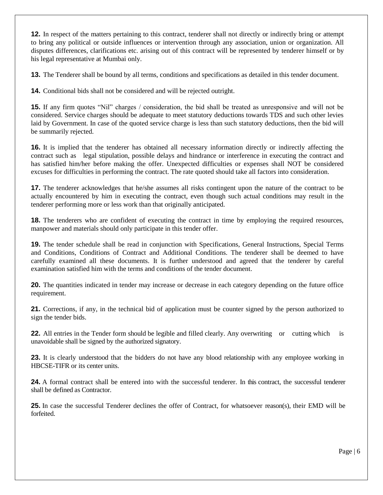**12.** In respect of the matters pertaining to this contract, tenderer shall not directly or indirectly bring or attempt to bring any political or outside influences or intervention through any association, union or organization. All disputes differences, clarifications etc. arising out of this contract will be represented by tenderer himself or by his legal representative at Mumbai only.

**13.** The Tenderer shall be bound by all terms, conditions and specifications as detailed in this tender document.

**14.** Conditional bids shall not be considered and will be rejected outright.

**15.** If any firm quotes "Nil" charges / consideration, the bid shall be treated as unresponsive and will not be considered. Service charges should be adequate to meet statutory deductions towards TDS and such other levies laid by Government. In case of the quoted service charge is less than such statutory deductions, then the bid will be summarily rejected.

**16.** It is implied that the tenderer has obtained all necessary information directly or indirectly affecting the contract such as legal stipulation, possible delays and hindrance or interference in executing the contract and has satisfied him/her before making the offer. Unexpected difficulties or expenses shall NOT be considered excuses for difficulties in performing the contract. The rate quoted should take all factors into consideration.

**17.** The tenderer acknowledges that he/she assumes all risks contingent upon the nature of the contract to be actually encountered by him in executing the contract, even though such actual conditions may result in the tenderer performing more or less work than that originally anticipated.

**18.** The tenderers who are confident of executing the contract in time by employing the required resources, manpower and materials should only participate in this tender offer.

**19.** The tender schedule shall be read in conjunction with Specifications, General Instructions, Special Terms and Conditions, Conditions of Contract and Additional Conditions. The tenderer shall be deemed to have carefully examined all these documents. It is further understood and agreed that the tenderer by careful examination satisfied him with the terms and conditions of the tender document.

**20.** The quantities indicated in tender may increase or decrease in each category depending on the future office requirement.

**21.** Corrections, if any, in the technical bid of application must be counter signed by the person authorized to sign the tender bids.

**22.** All entries in the Tender form should be legible and filled clearly. Any overwriting or cutting which is unavoidable shall be signed by the authorized signatory.

**23.** It is clearly understood that the bidders do not have any blood relationship with any employee working in HBCSE-TIFR or its center units.

**24.** A formal contract shall be entered into with the successful tenderer. In this contract, the successful tenderer shall be defined as Contractor.

**25.** In case the successful Tenderer declines the offer of Contract, for whatsoever reason(s), their EMD will be forfeited.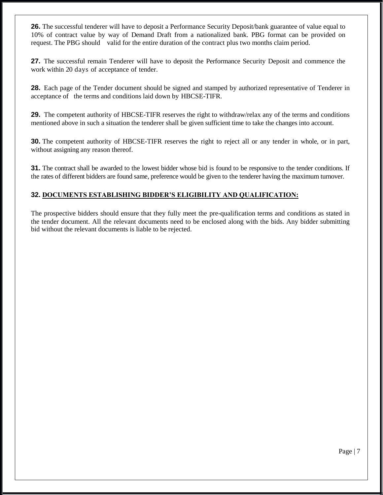**26.** The successful tenderer will have to deposit a Performance Security Deposit/bank guarantee of value equal to 10% of contract value by way of Demand Draft from a nationalized bank. PBG format can be provided on request. The PBG should valid for the entire duration of the contract plus two months claim period.

**27.** The successful remain Tenderer will have to deposit the Performance Security Deposit and commence the work within 20 days of acceptance of tender.

**28.** Each page of the Tender document should be signed and stamped by authorized representative of Tenderer in acceptance of the terms and conditions laid down by HBCSE-TIFR.

**29.** The competent authority of HBCSE-TIFR reserves the right to withdraw/relax any of the terms and conditions mentioned above in such a situation the tenderer shall be given sufficient time to take the changes into account.

**30.** The competent authority of HBCSE-TIFR reserves the right to reject all or any tender in whole, or in part, without assigning any reason thereof.

**31.** The contract shall be awarded to the lowest bidder whose bid is found to be responsive to the tender conditions. If the rates of different bidders are found same, preference would be given to the tenderer having the maximum turnover.

#### **32. DOCUMENTS ESTABLISHING BIDDER'S ELIGIBILITY AND QUALIFICATION:**

The prospective bidders should ensure that they fully meet the pre-qualification terms and conditions as stated in the tender document. All the relevant documents need to be enclosed along with the bids. Any bidder submitting bid without the relevant documents is liable to be rejected.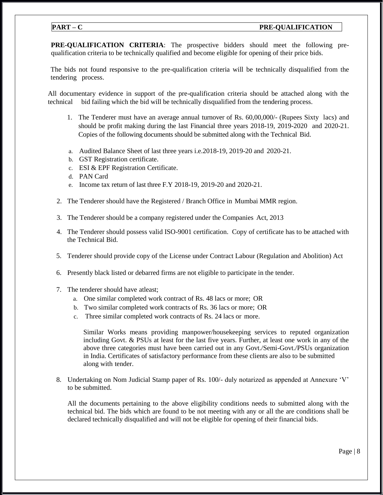#### **PART – C PRE-QUALIFICATION**

**PRE-QUALIFICATION CRITERIA**: The prospective bidders should meet the following prequalification criteria to be technically qualified and become eligible for opening of their price bids.

The bids not found responsive to the pre-qualification criteria will be technically disqualified from the tendering process.

All documentary evidence in support of the pre-qualification criteria should be attached along with the technical bid failing which the bid will be technically disqualified from the tendering process.

- 1. The Tenderer must have an average annual turnover of Rs. 60,00,000/- (Rupees Sixty lacs) and should be profit making during the last Financial three years 2018-19, 2019-2020 and 2020-21. Copies of the following documents should be submitted along with the Technical Bid.
- a. Audited Balance Sheet of last three years i.e.2018-19, 2019-20 and 2020-21.
- b. GST Registration certificate.
- c. ESI & EPF Registration Certificate.
- d. PAN Card
- e. Income tax return of last three F.Y 2018-19, 2019-20 and 2020-21.
- 2. The Tenderer should have the Registered / Branch Office in Mumbai MMR region.
- 3. The Tenderer should be a company registered under the Companies Act, 2013
- 4. The Tenderer should possess valid ISO-9001 certification. Copy of certificate has to be attached with the Technical Bid.
- 5. Tenderer should provide copy of the License under Contract Labour (Regulation and Abolition) Act
- 6. Presently black listed or debarred firms are not eligible to participate in the tender.
- 7. The tenderer should have atleast;
	- a. One similar completed work contract of Rs. 48 lacs or more; OR
	- b. Two similar completed work contracts of Rs. 36 lacs or more; OR
	- c. Three similar completed work contracts of Rs. 24 lacs or more.

Similar Works means providing manpower/housekeeping services to reputed organization including Govt. & PSUs at least for the last five years. Further, at least one work in any of the above three categories must have been carried out in any Govt./Semi-Govt./PSUs organization in India. Certificates of satisfactory performance from these clients are also to be submitted along with tender.

8. Undertaking on Nom Judicial Stamp paper of Rs. 100/- duly notarized as appended at Annexure 'V' to be submitted.

All the documents pertaining to the above eligibility conditions needs to submitted along with the technical bid. The bids which are found to be not meeting with any or all the are conditions shall be declared technically disqualified and will not be eligible for opening of their financial bids.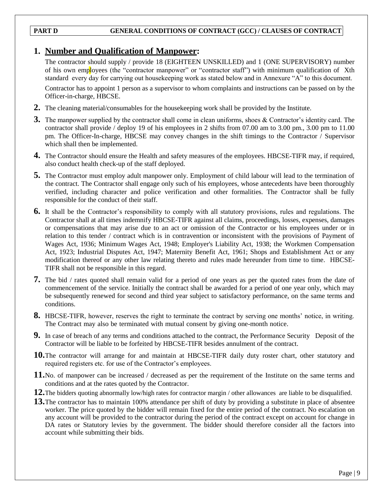### **PART D GENERAL CONDITIONS OF CONTRACT (GCC) / CLAUSES OF CONTRACT**

## **1. Number and Qualification of Manpower:**

The contractor should supply / provide 18 (EIGHTEEN UNSKILLED) and 1 (ONE SUPERVISORY) number of his own employees (the "contractor manpower" or "contractor staff") with minimum qualification of Xth standard every day for carrying out housekeeping work as stated below and in Annexure "A" to this document.

Contractor has to appoint 1 person as a supervisor to whom complaints and instructions can be passed on by the Officer-in-charge, HBCSE.

- **2.** The cleaning material/consumables for the house keeping work shall be provided by the Institute.
- **3.** The manpower supplied by the contractor shall come in clean uniforms, shoes & Contractor's identity card. The contractor shall provide / deploy 19 of his employees in 2 shifts from 07.00 am to 3.00 pm., 3.00 pm to 11.00 pm. The Officer-In-charge, HBCSE may convey changes in the shift timings to the Contractor / Supervisor which shall then be implemented.
- **4.** The Contractor should ensure the Health and safety measures of the employees. HBCSE-TIFR may, if required, also conduct health check-up of the staff deployed.
- **5.** The Contractor must employ adult manpower only. Employment of child labour will lead to the termination of the contract. The Contractor shall engage only such of his employees, whose antecedents have been thoroughly verified, including character and police verification and other formalities. The Contractor shall be fully responsible for the conduct of their staff.
- **6.** It shall be the Contractor's responsibility to comply with all statutory provisions, rules and regulations. The Contractor shall at all times indemnify HBCSE-TIFR against all claims, proceedings, losses, expenses, damages or compensations that may arise due to an act or omission of the Contractor or his employees under or in relation to this tender / contract which is in contravention or inconsistent with the provisions of Payment of Wages Act, 1936; Minimum Wages Act, 1948; Employer's Liability Act, 1938; the Workmen Compensation Act, 1923; Industrial Disputes Act, 1947; Maternity Benefit Act, 1961; Shops and Establishment Act or any modification thereof or any other law relating thereto and rules made hereunder from time to time. HBCSE-TIFR shall not be responsible in this regard.
- **7.** The bid / rates quoted shall remain valid for a period of one years as per the quoted rates from the date of commencement of the service. Initially the contract shall be awarded for a period of one year only, which may be subsequently renewed for second and third year subject to satisfactory performance, on the same terms and conditions.
- **8.** HBCSE-TIFR, however, reserves the right to terminate the contract by serving one months' notice, in writing. The Contract may also be terminated with mutual consent by giving one-month notice.
- **9.** In case of breach of any terms and conditions attached to the contract, the Performance Security Deposit of the Contractor will be liable to be forfeited by HBCSE-TIFR besides annulment of the contract.
- **10.**The contractor will arrange for and maintain at HBCSE-TIFR daily duty roster chart, other statutory and required registers etc. for use of the Contractor's employees.
- **11.**No. of manpower can be increased / decreased as per the requirement of the Institute on the same terms and conditions and at the rates quoted by the Contractor.
- **12.**The bidders quoting abnormally low/high rates for contractor margin / other allowances are liable to be disqualified.
- **13.**The contractor has to maintain 100% attendance per shift of duty by providing a substitute in place of absentee worker. The price quoted by the bidder will remain fixed for the entire period of the contract. No escalation on any account will be provided to the contractor during the period of the contract except on account for change in DA rates or Statutory levies by the government. The bidder should therefore consider all the factors into account while submitting their bids.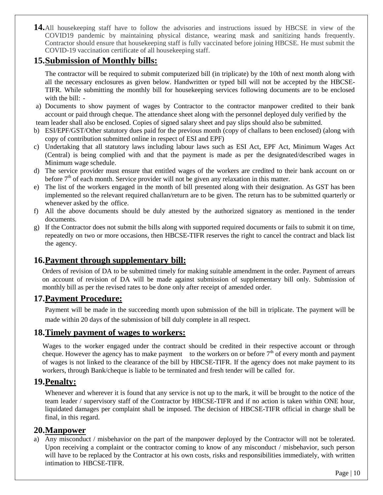**14.**All housekeeping staff have to follow the advisories and instructions issued by HBCSE in view of the COVID19 pandemic by maintaining physical distance, wearing mask and sanitizing hands frequently. Contractor should ensure that housekeeping staff is fully vaccinated before joining HBCSE. He must submit the COVID-19 vaccination certificate of all housekeeping staff.

## **15.Submission of Monthly bills:**

The contractor will be required to submit computerized bill (in triplicate) by the 10th of next month along with all the necessary enclosures as given below. Handwritten or typed bill will not be accepted by the HBCSE-TIFR. While submitting the monthly bill for housekeeping services following documents are to be enclosed with the bill: -

- a) Documents to show payment of wages by Contractor to the contractor manpower credited to their bank account or paid through cheque. The attendance sheet along with the personnel deployed duly verified by the team leader shall also be enclosed. Copies of signed salary sheet and pay slips should also be submitted.
- b) ESI/EPF/GST/Other statutory dues paid for the previous month (copy of challans to been enclosed) (along with copy of contribution submitted online in respect of ESI and EPF)
- c) Undertaking that all statutory laws including labour laws such as ESI Act, EPF Act, Minimum Wages Act (Central) is being complied with and that the payment is made as per the designated/described wages in Minimum wage schedule.
- d) The service provider must ensure that entitled wages of the workers are credited to their bank account on or before  $7<sup>th</sup>$  of each month. Service provider will not be given any relaxation in this matter.
- e) The list of the workers engaged in the month of bill presented along with their designation. As GST has been implemented so the relevant required challan/return are to be given. The return has to be submitted quarterly or whenever asked by the office.
- f) All the above documents should be duly attested by the authorized signatory as mentioned in the tender documents.
- g) If the Contractor does not submit the bills along with supported required documents or fails to submit it on time, repeatedly on two or more occasions, then HBCSE-TIFR reserves the right to cancel the contract and black list the agency.

## **16.Payment through supplementary bill:**

Orders of revision of DA to be submitted timely for making suitable amendment in the order. Payment of arrears on account of revision of DA will be made against submission of supplementary bill only. Submission of monthly bill as per the revised rates to be done only after receipt of amended order.

## **17.Payment Procedure:**

Payment will be made in the succeeding month upon submission of the bill in triplicate. The payment will be made within 20 days of the submission of bill duly complete in all respect.

## **18.Timely payment of wages to workers:**

Wages to the worker engaged under the contract should be credited in their respective account or through cheque. However the agency has to make payment to the workers on or before  $7<sup>th</sup>$  of every month and payment of wages is not linked to the clearance of the bill by HBCSE-TIFR. If the agency does not make payment to its workers, through Bank/cheque is liable to be terminated and fresh tender will be called for.

## **19.Penalty:**

Whenever and wherever it is found that any service is not up to the mark, it will be brought to the notice of the team leader / supervisory staff of the Contractor by HBCSE-TIFR and if no action is taken within ONE hour, liquidated damages per complaint shall be imposed. The decision of HBCSE-TIFR official in charge shall be final, in this regard.

## **20.Manpower**

a) Any misconduct / misbehavior on the part of the manpower deployed by the Contractor will not be tolerated. Upon receiving a complaint or the contractor coming to know of any misconduct / misbehavior, such person will have to be replaced by the Contractor at his own costs, risks and responsibilities immediately, with written intimation to HBCSE-TIFR.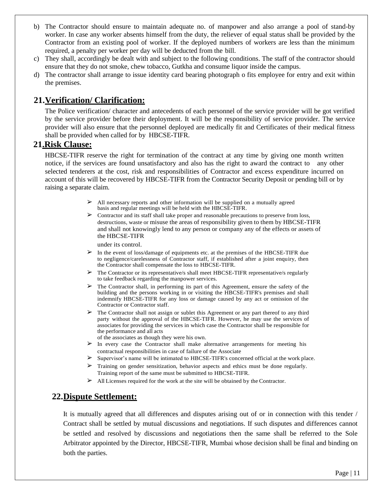- b) The Contractor should ensure to maintain adequate no. of manpower and also arrange a pool of stand-by worker. In case any worker absents himself from the duty, the reliever of equal status shall be provided by the Contractor from an existing pool of worker. If the deployed numbers of workers are less than the minimum required, a penalty per worker per day will be deducted from the bill.
- c) They shall, accordingly be dealt with and subject to the following conditions. The staff of the contractor should ensure that they do not smoke, chew tobacco, Gutkha and consume liquor inside the campus.
- d) The contractor shall arrange to issue identity card bearing photograph o fits employee for entry and exit within the premises.

## **21.Verification/ Clarification:**

The Police verification/ character and antecedents of each personnel of the service provider will be got verified by the service provider before their deployment. It will be the responsibility of service provider. The service provider will also ensure that the personnel deployed are medically fit and Certificates of their medical fitness shall be provided when called for by HBCSE-TIFR.

## **21.Risk Clause:**

HBCSE-TIFR reserve the right for termination of the contract at any time by giving one month written notice, if the services are found unsatisfactory and also has the right to award the contract to any other selected tenderers at the cost, risk and responsibilities of Contractor and excess expenditure incurred on account of this will be recovered by HBCSE-TIFR from the Contractor Security Deposit or pending bill or by raising a separate claim.

- $\triangleright$  All necessary reports and other information will be supplied on a mutually agreed basis and regular meetings will be held with the HBCSE-TIFR.
- ➢ Contractor and its staff shall take proper and reasonable precautions to preserve from loss, destructions, waste or misuse the areas of responsibility given to them by HBCSE-TIFR and shall not knowingly lend to any person or company any of the effects or assets of the HBCSE-TIFR

under its control.

- $\triangleright$  In the event of loss/damage of equipments etc. at the premises of the HBCSE-TIFR due to negligence/carelessness of Contractor staff, if established after a joint enquiry, then the Contractor shall compensate the loss to HBCSE-TIFR.
- $\triangleright$  The Contractor or its representative/s shall meet HBCSE-TIFR representative/s regularly to take feedback regarding the manpower services.
- $\triangleright$  The Contractor shall, in performing its part of this Agreement, ensure the safety of the building and the persons working in or visiting the HBCSE-TIFR's premises and shall indemnify HBCSE-TIFR for any loss or damage caused by any act or omission of the Contractor or Contractor staff.
- ➢ The Contractor shall not assign or sublet this Agreement or any part thereof to any third party without the approval of the HBCSE-TIFR. However, he may use the services of associates for providing the services in which case the Contractor shall be responsible for the performance and all acts
	- of the associates as though they were his own.
- ➢ In every case the Contractor shall make alternative arrangements for meeting his contractual responsibilities in case of failure of the Associate
- ➢ Supervisor's name will be intimated to HBCSE-TIFR's concerned official at the work place.
- $\triangleright$  Training on gender sensitization, behavior aspects and ethics must be done regularly. Training report of the same must be submitted to HBCSE-TIFR.
- ➢ All Licenses required for the work at the site will be obtained by the Contractor.

## **22.Dispute Settlement:**

It is mutually agreed that all differences and disputes arising out of or in connection with this tender / Contract shall be settled by mutual discussions and negotiations. If such disputes and differences cannot be settled and resolved by discussions and negotiations then the same shall be referred to the Sole Arbitrator appointed by the Director, HBCSE-TIFR, Mumbai whose decision shall be final and binding on both the parties.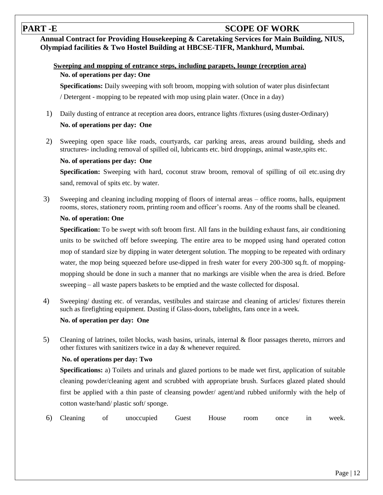## **PART -E SCOPE OF WORK**

**Annual Contract for Providing Housekeeping & Caretaking Services for Main Building, NIUS, Olympiad facilities & Two Hostel Building at HBCSE-TIFR, Mankhurd, Mumbai.**

### **Sweeping and mopping of entrance steps, including parapets, lounge (reception area) No. of operations per day: One**

**Specifications:** Daily sweeping with soft broom, mopping with solution of water plus disinfectant

/ Detergent - mopping to be repeated with mop using plain water. (Once in a day)

- 1) Daily dusting of entrance at reception area doors, entrance lights /fixtures (using duster-Ordinary) **No. of operations per day: One**
- 2) Sweeping open space like roads, courtyards, car parking areas, areas around building, sheds and structures- including removal of spilled oil, lubricants etc. bird droppings, animal waste,spits etc.

#### **No. of operations per day: One**

**Specification:** Sweeping with hard, coconut straw broom, removal of spilling of oil etc.using dry sand, removal of spits etc. by water.

3) Sweeping and cleaning including mopping of floors of internal areas – office rooms, halls, equipment rooms, stores, stationery room, printing room and officer's rooms. Any of the rooms shall be cleaned.

#### **No. of operation: One**

**Specification:** To be swept with soft broom first. All fans in the building exhaust fans, air conditioning units to be switched off before sweeping. The entire area to be mopped using hand operated cotton mop of standard size by dipping in water detergent solution. The mopping to be repeated with ordinary water, the mop being squeezed before use-dipped in fresh water for every 200-300 sq.ft. of moppingmopping should be done in such a manner that no markings are visible when the area is dried. Before sweeping – all waste papers baskets to be emptied and the waste collected for disposal.

4) Sweeping/ dusting etc. of verandas, vestibules and staircase and cleaning of articles/ fixtures therein such as firefighting equipment. Dusting if Glass-doors, tubelights, fans once in a week.

#### **No. of operation per day: One**

5) Cleaning of latrines, toilet blocks, wash basins, urinals, internal & floor passages thereto, mirrors and other fixtures with sanitizers twice in a day & whenever required.

#### **No. of operations per day: Two**

**Specifications:** a) Toilets and urinals and glazed portions to be made wet first, application of suitable cleaning powder/cleaning agent and scrubbed with appropriate brush. Surfaces glazed plated should first be applied with a thin paste of cleansing powder/ agent/and rubbed uniformly with the help of cotton waste/hand/ plastic soft/ sponge.

6) Cleaning of unoccupied Guest House room once in week.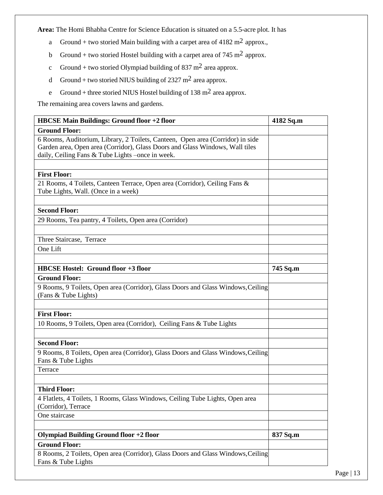**Area:** The Homi Bhabha Centre for Science Education is situated on a 5.5-acre plot. It has

- a Ground + two storied Main building with a carpet area of  $4182 \text{ m}^2$  approx.,
- b Ground + two storied Hostel building with a carpet area of 745 m<sup>2</sup> approx.
- c Ground + two storied Olympiad building of 837 m<sup>2</sup> area approx.
- d Ground + two storied NIUS building of 2327 m<sup>2</sup> area approx.
- e Ground + three storied NIUS Hostel building of  $138 \text{ m}^2$  area approx.

The remaining area covers lawns and gardens.

| <b>HBCSE Main Buildings: Ground floor +2 floor</b>                                                                                                                                                                 | 4182 Sq.m |
|--------------------------------------------------------------------------------------------------------------------------------------------------------------------------------------------------------------------|-----------|
| <b>Ground Floor:</b>                                                                                                                                                                                               |           |
| 6 Rooms, Auditorium, Library, 2 Toilets, Canteen, Open area (Corridor) in side<br>Garden area, Open area (Corridor), Glass Doors and Glass Windows, Wall tiles<br>daily, Ceiling Fans & Tube Lights -once in week. |           |
| <b>First Floor:</b>                                                                                                                                                                                                |           |
| 21 Rooms, 4 Toilets, Canteen Terrace, Open area (Corridor), Ceiling Fans &<br>Tube Lights, Wall. (Once in a week)                                                                                                  |           |
| <b>Second Floor:</b>                                                                                                                                                                                               |           |
| 29 Rooms, Tea pantry, 4 Toilets, Open area (Corridor)                                                                                                                                                              |           |
| Three Staircase, Terrace                                                                                                                                                                                           |           |
| One Lift                                                                                                                                                                                                           |           |
|                                                                                                                                                                                                                    |           |
| <b>HBCSE Hostel: Ground floor +3 floor</b>                                                                                                                                                                         | 745 Sq.m  |
| <b>Ground Floor:</b><br>9 Rooms, 9 Toilets, Open area (Corridor), Glass Doors and Glass Windows, Ceiling<br>(Fans & Tube Lights)                                                                                   |           |
| <b>First Floor:</b>                                                                                                                                                                                                |           |
| 10 Rooms, 9 Toilets, Open area (Corridor), Ceiling Fans & Tube Lights                                                                                                                                              |           |
| <b>Second Floor:</b>                                                                                                                                                                                               |           |
| 9 Rooms, 8 Toilets, Open area (Corridor), Glass Doors and Glass Windows, Ceiling<br>Fans & Tube Lights                                                                                                             |           |
| Terrace                                                                                                                                                                                                            |           |
| <b>Third Floor:</b>                                                                                                                                                                                                |           |
| 4 Flatlets, 4 Toilets, 1 Rooms, Glass Windows, Ceiling Tube Lights, Open area<br>(Corridor), Terrace                                                                                                               |           |
| One staircase                                                                                                                                                                                                      |           |
| <b>Olympiad Building Ground floor +2 floor</b>                                                                                                                                                                     | 837 Sq.m  |
| <b>Ground Floor:</b>                                                                                                                                                                                               |           |
| 8 Rooms, 2 Toilets, Open area (Corridor), Glass Doors and Glass Windows, Ceiling                                                                                                                                   |           |
| Fans & Tube Lights                                                                                                                                                                                                 |           |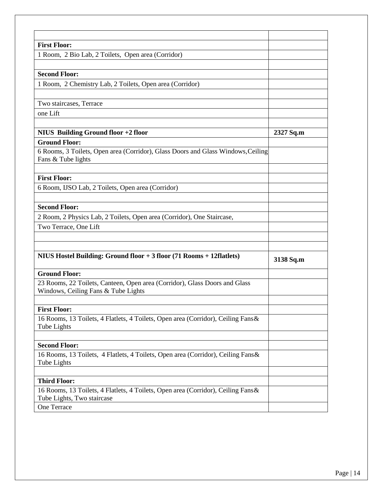| <b>First Floor:</b>                                                                                    |           |
|--------------------------------------------------------------------------------------------------------|-----------|
|                                                                                                        |           |
| 1 Room, 2 Bio Lab, 2 Toilets, Open area (Corridor)                                                     |           |
| <b>Second Floor:</b>                                                                                   |           |
| 1 Room, 2 Chemistry Lab, 2 Toilets, Open area (Corridor)                                               |           |
| Two staircases, Terrace                                                                                |           |
| one Lift                                                                                               |           |
|                                                                                                        |           |
| NIUS Building Ground floor +2 floor                                                                    | 2327 Sq.m |
| <b>Ground Floor:</b>                                                                                   |           |
| 6 Rooms, 3 Toilets, Open area (Corridor), Glass Doors and Glass Windows, Ceiling<br>Fans & Tube lights |           |
| <b>First Floor:</b>                                                                                    |           |
| 6 Room, IJSO Lab, 2 Toilets, Open area (Corridor)                                                      |           |
|                                                                                                        |           |
| <b>Second Floor:</b>                                                                                   |           |
| 2 Room, 2 Physics Lab, 2 Toilets, Open area (Corridor), One Staircase,                                 |           |
| Two Terrace, One Lift                                                                                  |           |
|                                                                                                        |           |
| NIUS Hostel Building: Ground floor + 3 floor (71 Rooms + 12 flatlets)                                  | 3138 Sq.m |
| <b>Ground Floor:</b>                                                                                   |           |
| 23 Rooms, 22 Toilets, Canteen, Open area (Corridor), Glass Doors and Glass                             |           |
| Windows, Ceiling Fans & Tube Lights                                                                    |           |
| <b>First Floor:</b>                                                                                    |           |
| 16 Rooms, 13 Toilets, 4 Flatlets, 4 Toilets, Open area (Corridor), Ceiling Fans &                      |           |
| Tube Lights                                                                                            |           |
| <b>Second Floor:</b>                                                                                   |           |
| 16 Rooms, 13 Toilets, 4 Flatlets, 4 Toilets, Open area (Corridor), Ceiling Fans &                      |           |
| Tube Lights                                                                                            |           |
| <b>Third Floor:</b>                                                                                    |           |
| 16 Rooms, 13 Toilets, 4 Flatlets, 4 Toilets, Open area (Corridor), Ceiling Fans &                      |           |
| Tube Lights, Two staircase                                                                             |           |
| One Terrace                                                                                            |           |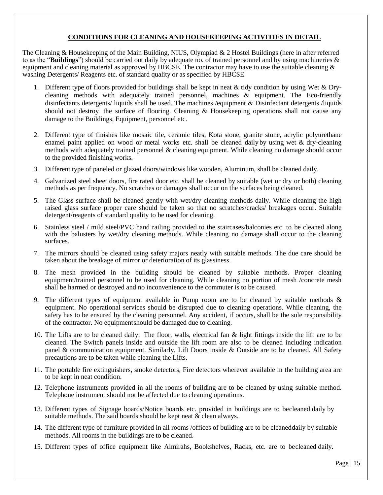#### **CONDITIONS FOR CLEANING AND HOUSEKEEPING ACTIVITIES IN DETAIL**

The Cleaning & Housekeeping of the Main Building, NIUS, Olympiad & 2 Hostel Buildings (here in after referred to as the "**Buildings**") should be carried out daily by adequate no. of trained personnel and by using machineries & equipment and cleaning material as approved by HBCSE. The contractor may have to use the suitable cleaning  $\&$ washing Detergents/ Reagents etc. of standard quality or as specified by HBCSE

- 1. Different type of floors provided for buildings shall be kept in neat & tidy condition by using Wet & Drycleaning methods with adequately trained personnel, machines & equipment. The Eco-friendly disinfectants detergents/ liquids shall be used. The machines /equipment & Disinfectant detergents /liquids should not destroy the surface of flooring. Cleaning & Housekeeping operations shall not cause any damage to the Buildings, Equipment, personnel etc.
- 2. Different type of finishes like mosaic tile, ceramic tiles, Kota stone, granite stone, acrylic polyurethane enamel paint applied on wood or metal works etc. shall be cleaned daily by using wet & dry-cleaning methods with adequately trained personnel & cleaning equipment. While cleaning no damage should occur to the provided finishing works.
- 3. Different type of paneled or glazed doors/windows like wooden, Aluminum, shall be cleaned daily.
- 4. Galvanized steel sheet doors, fire rated door etc. shall be cleaned by suitable (wet or dry or both) cleaning methods as per frequency. No scratches or damages shall occur on the surfaces being cleaned.
- 5. The Glass surface shall be cleaned gently with wet/dry cleaning methods daily. While cleaning the high raised glass surface proper care should be taken so that no scratches/cracks/ breakages occur. Suitable detergent/reagents of standard quality to be used for cleaning.
- 6. Stainless steel / mild steel/PVC hand railing provided to the staircases/balconies etc. to be cleaned along with the balusters by wet/dry cleaning methods. While cleaning no damage shall occur to the cleaning surfaces.
- 7. The mirrors should be cleaned using safety majors neatly with suitable methods. The due care should be taken about the breakage of mirror or deterioration of its glassiness.
- 8. The mesh provided in the building should be cleaned by suitable methods. Proper cleaning equipment/trained personnel to be used for cleaning. While cleaning no portion of mesh /concrete mesh shall be harmed or destroyed and no inconvenience to the commuter is to be caused.
- 9. The different types of equipment available in Pump room are to be cleaned by suitable methods & equipment. No operational services should be disrupted due to cleaning operations. While cleaning, the safety has to be ensured by the cleaning personnel. Any accident, if occurs, shall be the sole responsibility of the contractor. No equipmentshould be damaged due to cleaning.
- 10. The Lifts are to be cleaned daily. The floor, walls, electrical fan & light fittings inside the lift are to be cleaned. The Switch panels inside and outside the lift room are also to be cleaned including indication panel & communication equipment. Similarly, Lift Doors inside & Outside are to be cleaned. All Safety precautions are to be taken while cleaning the Lifts.
- 11. The portable fire extinguishers, smoke detectors, Fire detectors wherever available in the building area are to be kept in neat condition.
- 12. Telephone instruments provided in all the rooms of building are to be cleaned by using suitable method. Telephone instrument should not be affected due to cleaning operations.
- 13. Different types of Signage boards/Notice boards etc. provided in buildings are to becleaned daily by suitable methods. The said boards should be kept neat  $\&$  clean always.
- 14. The different type of furniture provided in all rooms /offices of building are to be cleaneddaily by suitable methods. All rooms in the buildings are to be cleaned.
- 15. Different types of office equipment like Almirahs, Bookshelves, Racks, etc. are to becleaned daily.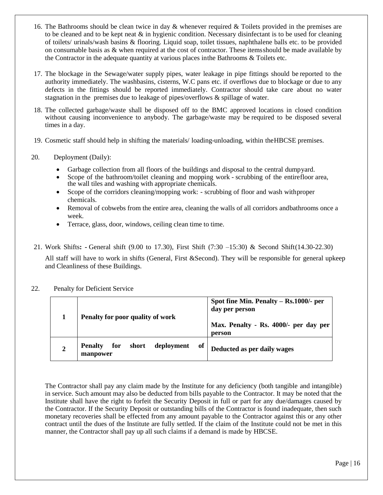- 16. The Bathrooms should be clean twice in day  $\&$  whenever required  $\&$  Toilets provided in the premises are to be cleaned and to be kept neat  $\&$  in hygienic condition. Necessary disinfectant is to be used for cleaning of toilets/ urinals/wash basins & flooring. Liquid soap, toilet tissues, naphthalene balls etc. to be provided on consumable basis as & when required at the cost of contractor. These itemsshould be made available by the Contractor in the adequate quantity at various places inthe Bathrooms & Toilets etc.
- 17. The blockage in the Sewage/water supply pipes, water leakage in pipe fittings should be reported to the authority immediately. The washbasins, cisterns, W.C pans etc. if overflows due to blockage or due to any defects in the fittings should be reported immediately. Contractor should take care about no water stagnation in the premises due to leakage of pipes/overflows & spillage of water.
- 18. The collected garbage/waste shall be disposed off to the BMC approved locations in closed condition without causing inconvenience to anybody. The garbage/waste may be required to be disposed several times in a day.
- 19. Cosmetic staff should help in shifting the materials/ loading-unloading, within theHBCSE premises.
- 20. Deployment (Daily):
	- Garbage collection from all floors of the buildings and disposal to the central dumpyard.
	- Scope of the bathroom/toilet cleaning and mopping work scrubbing of the entirefloor area, the wall tiles and washing with appropriate chemicals.
	- Scope of the corridors cleaning/mopping work: scrubbing of floor and wash withproper chemicals.
	- Removal of cobwebs from the entire area, cleaning the walls of all corridors andbathrooms once a week.
	- Terrace, glass, door, windows, ceiling clean time to time.
- 21. Work Shifts**: -** General shift (9.00 to 17.30), First Shift (7:30 –15:30) & Second Shift(14.30-22.30)

All staff will have to work in shifts (General, First &Second). They will be responsible for general upkeep and Cleanliness of these Buildings.

#### 22. Penalty for Deficient Service

|                | Penalty for poor quality of work                               | Spot fine Min. Penalty – Rs.1000/- per<br>day per person<br>Max. Penalty - Rs. 4000/- per day per<br>person |
|----------------|----------------------------------------------------------------|-------------------------------------------------------------------------------------------------------------|
| $\overline{2}$ | of<br>short<br>for<br>deployment<br><b>Penalty</b><br>manpower | Deducted as per daily wages                                                                                 |

The Contractor shall pay any claim made by the Institute for any deficiency (both tangible and intangible) in service. Such amount may also be deducted from bills payable to the Contractor. It may be noted that the Institute shall have the right to forfeit the Security Deposit in full or part for any due/damages caused by the Contractor. If the Security Deposit or outstanding bills of the Contractor is found inadequate, then such monetary recoveries shall be effected from any amount payable to the Contractor against this or any other contract until the dues of the Institute are fully settled. If the claim of the Institute could not be met in this manner, the Contractor shall pay up all such claims if a demand is made by HBCSE.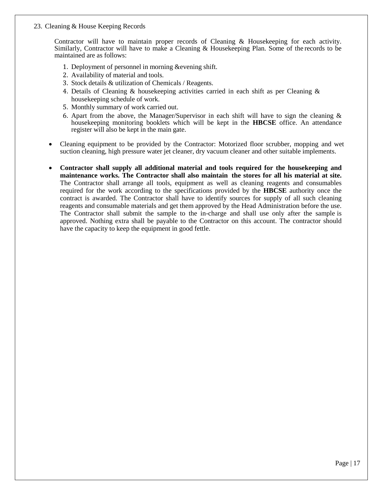#### 23. Cleaning & House Keeping Records

Contractor will have to maintain proper records of Cleaning & Housekeeping for each activity. Similarly, Contractor will have to make a Cleaning & Housekeeping Plan. Some of the records to be maintained are as follows:

- 1. Deployment of personnel in morning &evening shift.
- 2. Availability of material and tools.
- 3. Stock details & utilization of Chemicals / Reagents.
- 4. Details of Cleaning & housekeeping activities carried in each shift as per Cleaning & housekeeping schedule of work.
- 5. Monthly summary of work carried out.
- 6. Apart from the above, the Manager/Supervisor in each shift will have to sign the cleaning  $\&$ housekeeping monitoring booklets which will be kept in the **HBCSE** office. An attendance register will also be kept in the main gate.
- Cleaning equipment to be provided by the Contractor: Motorized floor scrubber, mopping and wet suction cleaning, high pressure water jet cleaner, dry vacuum cleaner and other suitable implements.
- **Contractor shall supply all additional material and tools required for the housekeeping and maintenance works. The Contractor shall also maintain the stores for all his material at site.**  The Contractor shall arrange all tools, equipment as well as cleaning reagents and consumables required for the work according to the specifications provided by the **HBCSE** authority once the contract is awarded. The Contractor shall have to identify sources for supply of all such cleaning reagents and consumable materials and get them approved by the Head Administration before the use. The Contractor shall submit the sample to the in-charge and shall use only after the sample is approved. Nothing extra shall be payable to the Contractor on this account. The contractor should have the capacity to keep the equipment in good fettle.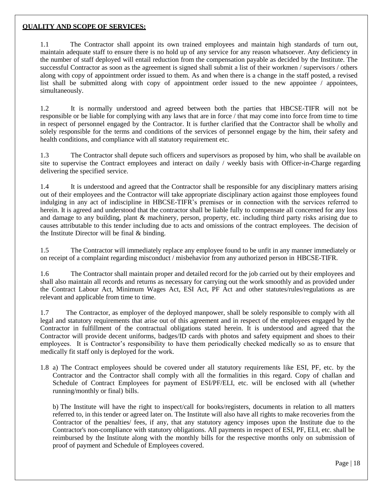#### **QUALITY AND SCOPE OF SERVICES:**

1.1 The Contractor shall appoint its own trained employees and maintain high standards of turn out, maintain adequate staff to ensure there is no hold up of any service for any reason whatsoever. Any deficiency in the number of staff deployed will entail reduction from the compensation payable as decided by the Institute. The successful Contractor as soon as the agreement is signed shall submit a list of their workmen / supervisors / others along with copy of appointment order issued to them. As and when there is a change in the staff posted, a revised list shall be submitted along with copy of appointment order issued to the new appointee / appointees, simultaneously.

1.2 It is normally understood and agreed between both the parties that HBCSE-TIFR will not be responsible or be liable for complying with any laws that are in force / that may come into force from time to time in respect of personnel engaged by the Contractor. It is further clarified that the Contractor shall be wholly and solely responsible for the terms and conditions of the services of personnel engage by the him, their safety and health conditions, and compliance with all statutory requirement etc.

1.3 The Contractor shall depute such officers and supervisors as proposed by him, who shall be available on site to supervise the Contract employees and interact on daily / weekly basis with Officer-in-Charge regarding delivering the specified service.

1.4 It is understood and agreed that the Contractor shall be responsible for any disciplinary matters arising out of their employees and the Contractor will take appropriate disciplinary action against those employees found indulging in any act of indiscipline in HBCSE-TIFR's premises or in connection with the services referred to herein. It is agreed and understood that the contractor shall be liable fully to compensate all concerned for any loss and damage to any building, plant & machinery, person, property, etc. including third party risks arising due to causes attributable to this tender including due to acts and omissions of the contract employees. The decision of the Institute Director will be final & binding.

1.5 The Contractor will immediately replace any employee found to be unfit in any manner immediately or on receipt of a complaint regarding misconduct / misbehavior from any authorized person in HBCSE-TIFR.

1.6 The Contractor shall maintain proper and detailed record for the job carried out by their employees and shall also maintain all records and returns as necessary for carrying out the work smoothly and as provided under the Contract Labour Act, Minimum Wages Act, ESI Act, PF Act and other statutes/rules/regulations as are relevant and applicable from time to time.

1.7 The Contractor, as employer of the deployed manpower, shall be solely responsible to comply with all legal and statutory requirements that arise out of this agreement and in respect of the employees engaged by the Contractor in fulfillment of the contractual obligations stated herein. It is understood and agreed that the Contractor will provide decent uniforms, badges/ID cards with photos and safety equipment and shoes to their employees. It is Contractor's responsibility to have them periodically checked medically so as to ensure that medically fit staff only is deployed for the work.

1.8 a) The Contract employees should be covered under all statutory requirements like ESI, PF, etc. by the Contractor and the Contractor shall comply with all the formalities in this regard. Copy of challan and Schedule of Contract Employees for payment of ESI/PF/ELI, etc. will be enclosed with all (whether running/monthly or final) bills.

b) The Institute will have the right to inspect/call for books/registers, documents in relation to all matters referred to, in this tender or agreed later on. The Institute will also have all rights to make recoveries from the Contractor of the penalties/ fees, if any, that any statutory agency imposes upon the Institute due to the Contractor's non-compliance with statutory obligations. All payments in respect of ESI, PF, ELI, etc. shall be reimbursed by the Institute along with the monthly bills for the respective months only on submission of proof of payment and Schedule of Employees covered.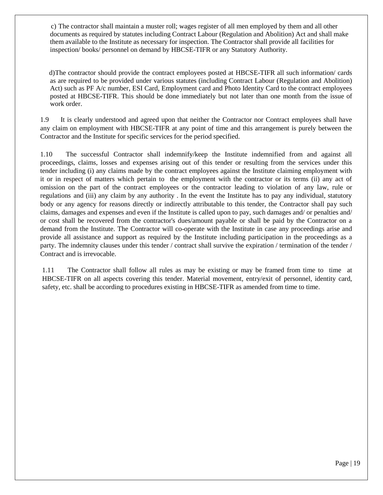c) The contractor shall maintain a muster roll; wages register of all men employed by them and all other documents as required by statutes including Contract Labour (Regulation and Abolition) Act and shall make them available to the Institute as necessary for inspection. The Contractor shall provide all facilities for inspection/ books/ personnel on demand by HBCSE-TIFR or any Statutory Authority.

d)The contractor should provide the contract employees posted at HBCSE-TIFR all such information/ cards as are required to be provided under various statutes (including Contract Labour (Regulation and Abolition) Act) such as PF A/c number, ESI Card, Employment card and Photo Identity Card to the contract employees posted at HBCSE-TIFR. This should be done immediately but not later than one month from the issue of work order.

1.9 It is clearly understood and agreed upon that neither the Contractor nor Contract employees shall have any claim on employment with HBCSE-TIFR at any point of time and this arrangement is purely between the Contractor and the Institute for specific services for the period specified.

1.10 The successful Contractor shall indemnify/keep the Institute indemnified from and against all proceedings, claims, losses and expenses arising out of this tender or resulting from the services under this tender including (i) any claims made by the contract employees against the Institute claiming employment with it or in respect of matters which pertain to the employment with the contractor or its terms (ii) any act of omission on the part of the contract employees or the contractor leading to violation of any law, rule or regulations and (iii) any claim by any authority . In the event the Institute has to pay any individual, statutory body or any agency for reasons directly or indirectly attributable to this tender, the Contractor shall pay such claims, damages and expenses and even if the Institute is called upon to pay, such damages and/ or penalties and/ or cost shall be recovered from the contractor's dues/amount payable or shall be paid by the Contractor on a demand from the Institute. The Contractor will co-operate with the Institute in case any proceedings arise and provide all assistance and support as required by the Institute including participation in the proceedings as a party. The indemnity clauses under this tender / contract shall survive the expiration / termination of the tender / Contract and is irrevocable.

1.11 The Contractor shall follow all rules as may be existing or may be framed from time to time at HBCSE-TIFR on all aspects covering this tender. Material movement, entry/exit of personnel, identity card, safety, etc. shall be according to procedures existing in HBCSE-TIFR as amended from time to time.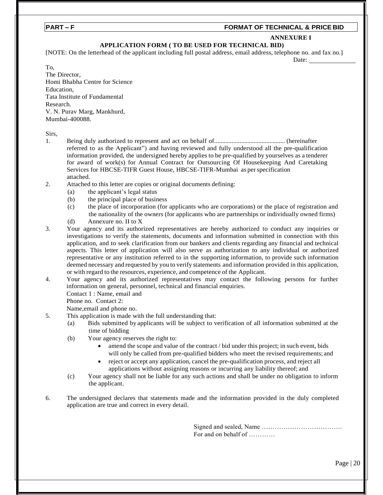#### **PART – F FORMAT OF TECHNICAL & PRICE BID**

#### **ANNEXURE I**

Date:

#### **APPLICATION FORM ( TO BE USED FOR TECHNICAL BID)**

[NOTE: On the letterhead of the applicant including full postal address, email address, telephone no. and fax no.]

To,

The Director, Homi Bhabha Centre for Science Education, Tata Institute of Fundamental Research. V. N. Purav Marg, Mankhurd, Mumbai-400088.

Sirs,

- 1. Being duly authorized to represent and act on behalf of............................................. (hereinafter referred to as the Applicant") and having reviewed and fully understood all the pre-qualification information provided, the undersigned hereby applies to be pre-qualified by yourselves as a tenderer for award of work(s) for Annual Contract for Outsourcing Of Housekeeping And Caretaking Services for HBCSE-TIFR Guest House, HBCSE-TIFR-Mumbai as perspecification attached.
- 2. Attached to this letter are copies or original documents defining:
	- (a) the applicant's legal status
	- (b) the principal place of business
	- (c) the place of incorporation (for applicants who are corporations) or the place of registration and the nationality of the owners (for applicants who are partnerships or individually owned firms)
	- (d) Annexure no. II to X
- 3. Your agency and its authorized representatives are hereby authorized to conduct any inquiries or investigations to verify the statements, documents and information submitted in connection with this application, and to seek clarification from our bankers and clients regarding any financial and technical aspects. This letter of application will also serve as authorization to any individual or authorized representative or any institution referred to in the supporting information, to provide such information deemed necessary and requested by you to verify statements and information provided in this application, or with regard to the resources, experience, and competence of the Applicant.
- 4. Your agency and its authorized representatives may contact the following persons for further information on general, personnel, technical and financial enquiries.
	- Contact 1 : Name, email and
	- Phone no. Contact 2:

Name,email and phone no.

- 5. This application is made with the full understanding that:
	- (a) Bids submitted by applicants will be subject to verification of all information submitted at the time of bidding
	- (b) Your agency reserves the right to:
		- amend the scope and value of the contract / bid under this project; in such event, bids will only be called from pre-qualified bidders who meet the revised requirements; and
		- reject or accept any application, cancel the pre-qualification process, and reject all applications without assigning reasons or incurring any liability thereof; and
	- (c) Your agency shall not be liable for any such actions and shall be under no obligation to inform the applicant.
- 6. The undersigned declares that statements made and the information provided in the duly completed application are true and correct in every detail.

Signed and sealed, Name ………………………………. For and on behalf of …………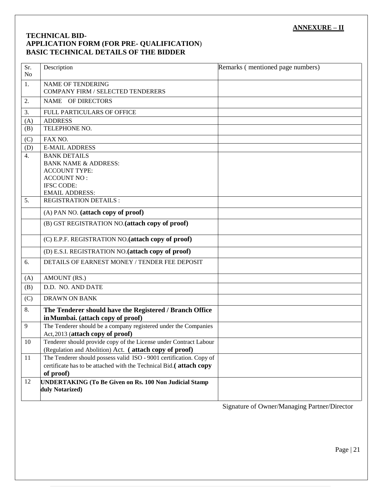## **ANNEXURE – II**

### **TECHNICAL BID- APPLICATION FORM (FOR PRE- QUALIFICATION**)  **BASIC TECHNICAL DETAILS OF THE BIDDER**

| Sr.<br>N <sub>o</sub> | Description                                                                                         | Remarks (mentioned page numbers) |
|-----------------------|-----------------------------------------------------------------------------------------------------|----------------------------------|
| 1.                    | <b>NAME OF TENDERING</b><br>COMPANY FIRM / SELECTED TENDERERS                                       |                                  |
| 2.                    | NAME OF DIRECTORS                                                                                   |                                  |
| 3.                    | FULL PARTICULARS OF OFFICE                                                                          |                                  |
| (A)                   | <b>ADDRESS</b>                                                                                      |                                  |
| (B)                   | TELEPHONE NO.                                                                                       |                                  |
| (C)                   | FAX NO.                                                                                             |                                  |
| (D)                   | <b>E-MAIL ADDRESS</b>                                                                               |                                  |
| $\overline{4}$ .      | <b>BANK DETAILS</b>                                                                                 |                                  |
|                       | <b>BANK NAME &amp; ADDRESS:</b>                                                                     |                                  |
|                       | <b>ACCOUNT TYPE:</b><br><b>ACCOUNT NO:</b>                                                          |                                  |
|                       | <b>IFSC CODE:</b>                                                                                   |                                  |
|                       | <b>EMAIL ADDRESS:</b>                                                                               |                                  |
| 5.                    | <b>REGISTRATION DETAILS:</b>                                                                        |                                  |
|                       | (A) PAN NO. (attach copy of proof)                                                                  |                                  |
|                       | (B) GST REGISTRATION NO. (attach copy of proof)                                                     |                                  |
|                       | (C) E.P.F. REGISTRATION NO. (attach copy of proof)                                                  |                                  |
|                       | (D) E.S.I. REGISTRATION NO.(attach copy of proof)                                                   |                                  |
| 6.                    | DETAILS OF EARNEST MONEY / TENDER FEE DEPOSIT                                                       |                                  |
| (A)                   | AMOUNT (RS.)                                                                                        |                                  |
| (B)                   | D.D. NO. AND DATE                                                                                   |                                  |
| (C)                   | <b>DRAWN ON BANK</b>                                                                                |                                  |
| 8.                    | The Tenderer should have the Registered / Branch Office<br>in Mumbai. (attach copy of proof)        |                                  |
| 9                     | The Tenderer should be a company registered under the Companies<br>Act, 2013 (attach copy of proof) |                                  |
| 10                    | Tenderer should provide copy of the License under Contract Labour                                   |                                  |
|                       | (Regulation and Abolition) Act. (attach copy of proof)                                              |                                  |
| 11                    | The Tenderer should possess valid ISO - 9001 certification. Copy of                                 |                                  |
|                       | certificate has to be attached with the Technical Bid.(attach copy                                  |                                  |
|                       | of proof)                                                                                           |                                  |
| 12                    | <b>UNDERTAKING (To Be Given on Rs. 100 Non Judicial Stamp)</b><br>duly Notarized)                   |                                  |

Signature of Owner/Managing Partner/Director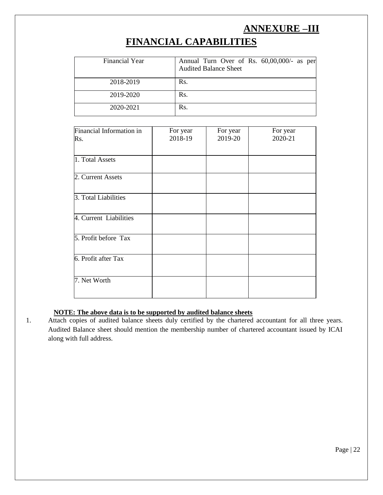# **ANNEXURE –III**

# **FINANCIAL CAPABILITIES**

| Financial Year | Annual Turn Over of Rs. 60,00,000/- as per<br><b>Audited Balance Sheet</b> |
|----------------|----------------------------------------------------------------------------|
| 2018-2019      | Rs.                                                                        |
| 2019-2020      | Rs.                                                                        |
| 2020-2021      | Rs.                                                                        |

| Financial Information in | For year | For year | For year |
|--------------------------|----------|----------|----------|
| Rs.                      | 2018-19  | 2019-20  | 2020-21  |
|                          |          |          |          |
| 1. Total Assets          |          |          |          |
| 2. Current Assets        |          |          |          |
| 3. Total Liabilities     |          |          |          |
| 4. Current Liabilities   |          |          |          |
| 5. Profit before Tax     |          |          |          |
| 6. Profit after Tax      |          |          |          |
| 7. Net Worth             |          |          |          |

#### **NOTE: The above data is to be supported by audited balance sheets**

1. Attach copies of audited balance sheets duly certified by the chartered accountant for all three years. Audited Balance sheet should mention the membership number of chartered accountant issued by ICAI along with full address.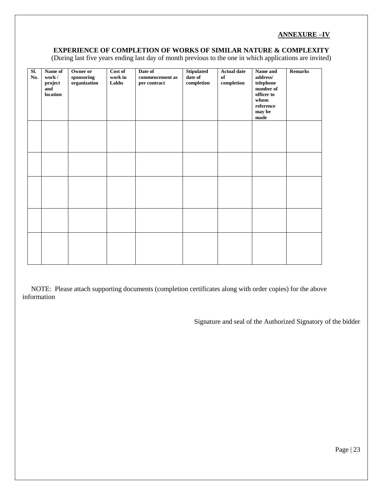### **ANNEXURE –IV**

#### **EXPERIENCE OF COMPLETION OF WORKS OF SIMILAR NATURE & COMPLEXITY**

(During last five years ending last day of month previous to the one in which applications are invited)

| SI.<br>No. | Name of<br>work/<br>project<br>and<br>location | Owner or<br>sponsoring<br>organization | Cost of<br>work in<br>Lakhs | Date of<br>commencement as<br>per contract | <b>Stipulated</b><br>date of<br>$\bf$ completion | <b>Actual date</b><br>$\mathbf{0}\mathbf{f}$<br>completion | Name and<br>address/<br>telephone<br>number of<br>officer to<br>whom<br>$\rm reference$<br>may be<br>$_{\rm made}$ | <b>Remarks</b> |
|------------|------------------------------------------------|----------------------------------------|-----------------------------|--------------------------------------------|--------------------------------------------------|------------------------------------------------------------|--------------------------------------------------------------------------------------------------------------------|----------------|
|            |                                                |                                        |                             |                                            |                                                  |                                                            |                                                                                                                    |                |
|            |                                                |                                        |                             |                                            |                                                  |                                                            |                                                                                                                    |                |
|            |                                                |                                        |                             |                                            |                                                  |                                                            |                                                                                                                    |                |
|            |                                                |                                        |                             |                                            |                                                  |                                                            |                                                                                                                    |                |
|            |                                                |                                        |                             |                                            |                                                  |                                                            |                                                                                                                    |                |

 NOTE: Please attach supporting documents (completion certificates along with order copies) for the above information

Signature and seal of the Authorized Signatory of the bidder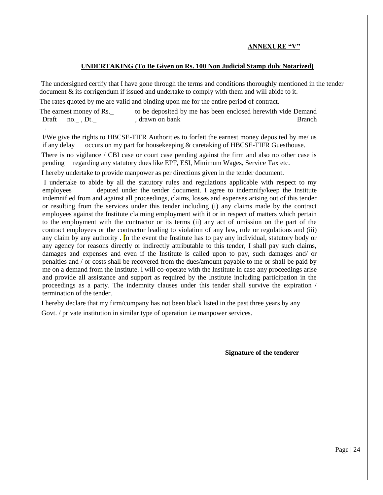#### **ANNEXURE "V"**

#### **UNDERTAKING (To Be Given on Rs. 100 Non Judicial Stamp duly Notarized)**

The undersigned certify that I have gone through the terms and conditions thoroughly mentioned in the tender document & its corrigendum if issued and undertake to comply with them and will abide to it.

The rates quoted by me are valid and binding upon me for the entire period of contract.

The earnest money of Rs. The deposited by me has been enclosed herewith vide Demand Draft no. , Dt. (contract a contract a contract a contract a contract a contract a contract a contract a contract branch Branch .

I/We give the rights to HBCSE-TIFR Authorities to forfeit the earnest money deposited by me/ us if any delay occurs on my part for house keeping  $&$  caretaking of HBCSE-TIFR Guesthouse.

There is no vigilance / CBI case or court case pending against the firm and also no other case is pending regarding any statutory dues like EPF, ESI, Minimum Wages, Service Tax etc.

I hereby undertake to provide manpower as per directions given in the tender document.

I undertake to abide by all the statutory rules and regulations applicable with respect to my employees deputed under the tender document. I agree to indemnify/keep the Institute indemnified from and against all proceedings, claims, losses and expenses arising out of this tender or resulting from the services under this tender including (i) any claims made by the contract employees against the Institute claiming employment with it or in respect of matters which pertain to the employment with the contractor or its terms (ii) any act of omission on the part of the contract employees or the contractor leading to violation of any law, rule or regulations and (iii) any claim by any authority. In the event the Institute has to pay any individual, statutory body or any agency for reasons directly or indirectly attributable to this tender, I shall pay such claims, damages and expenses and even if the Institute is called upon to pay, such damages and/ or penalties and / or costs shall be recovered from the dues/amount payable to me or shall be paid by me on a demand from the Institute. I will co-operate with the Institute in case any proceedings arise and provide all assistance and support as required by the Institute including participation in the proceedings as a party. The indemnity clauses under this tender shall survive the expiration / termination of the tender.

 I hereby declare that my firm/company has not been black listed in the past three years by any Govt. / private institution in similar type of operation i.e manpower services.

**Signature of the tenderer**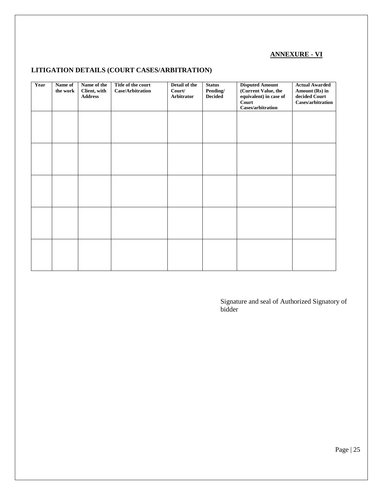## **ANNEXURE - VI**

## **LITIGATION DETAILS (COURT CASES/ARBITRATION)**

| Year | Name of<br>the work | Name of the<br>Client, with<br><b>Address</b> | Title of the court<br>Case/Arbitration | Detail of the<br>Court/<br>Arbitrator | <b>Status</b><br>Pending/<br><b>Decided</b> | <b>Disputed Amount</b><br>(Current Value, the<br>equivalent) in case of<br>Court<br>Cases/arbitration | <b>Actual Awarded</b><br>Amount (Rs) in<br>decided Court<br>Cases/arbitration |
|------|---------------------|-----------------------------------------------|----------------------------------------|---------------------------------------|---------------------------------------------|-------------------------------------------------------------------------------------------------------|-------------------------------------------------------------------------------|
|      |                     |                                               |                                        |                                       |                                             |                                                                                                       |                                                                               |
|      |                     |                                               |                                        |                                       |                                             |                                                                                                       |                                                                               |
|      |                     |                                               |                                        |                                       |                                             |                                                                                                       |                                                                               |
|      |                     |                                               |                                        |                                       |                                             |                                                                                                       |                                                                               |
|      |                     |                                               |                                        |                                       |                                             |                                                                                                       |                                                                               |

Signature and seal of Authorized Signatory of bidder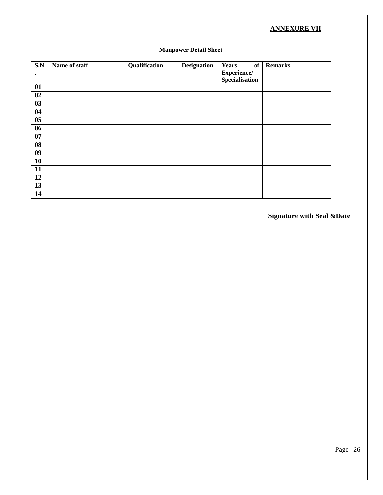## **ANNEXURE VII**

| <b>Manpower Detail Sheet</b> |  |  |
|------------------------------|--|--|
|------------------------------|--|--|

| S.N                                 | Name of staff | Qualification | <b>Designation</b> | of<br><b>Years</b> | <b>Remarks</b> |
|-------------------------------------|---------------|---------------|--------------------|--------------------|----------------|
| $\bullet$                           |               |               |                    | Experience/        |                |
|                                     |               |               |                    | Specialisation     |                |
| $\overline{01}$                     |               |               |                    |                    |                |
| 02                                  |               |               |                    |                    |                |
| 03                                  |               |               |                    |                    |                |
| $\overline{04}$                     |               |               |                    |                    |                |
| $\overline{\overline{\textbf{05}}}$ |               |               |                    |                    |                |
| 06                                  |               |               |                    |                    |                |
| 07                                  |               |               |                    |                    |                |
| 08                                  |               |               |                    |                    |                |
| 09                                  |               |               |                    |                    |                |
| <b>10</b>                           |               |               |                    |                    |                |
| 11                                  |               |               |                    |                    |                |
| 12                                  |               |               |                    |                    |                |
| 13                                  |               |               |                    |                    |                |
| 14                                  |               |               |                    |                    |                |

**Signature with Seal &Date**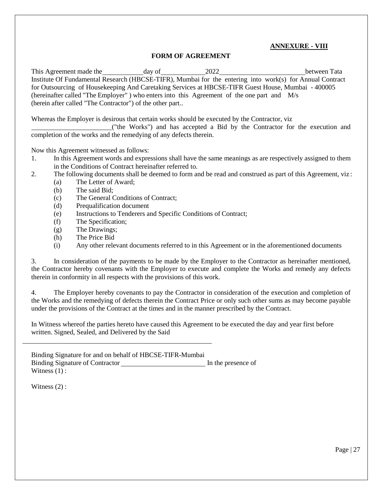#### **ANNEXURE - VIII**

#### **FORM OF AGREEMENT**

This Agreement made the day of 2022 between Tata Institute Of Fundamental Research (HBCSE-TIFR), Mumbai for the entering into work(s) for Annual Contract for Outsourcing of Housekeeping And Caretaking Services at HBCSE-TIFR Guest House, Mumbai - 400005 (hereinafter called "The Employer" ) who enters into this Agreement of the one part and M/s (herein after called "The Contractor") of the other part..

Whereas the Employer is desirous that certain works should be executed by the Contractor, viz

("the Works") and has accepted a Bid by the Contractor for the execution and completion of the works and the remedying of any defects therein.

Now this Agreement witnessed as follows:

- 1. In this Agreement words and expressions shall have the same meanings as are respectively assigned to them in the Conditions of Contract hereinafter referred to.
- 2. The following documents shall be deemed to form and be read and construed as part of this Agreement, viz :
	- (a) The Letter of Award;
	- (b) The said Bid;
	- (c) The General Conditions of Contract;
	- (d) Prequalification document
	- (e) Instructions to Tenderers and Specific Conditions of Contract;
	- (f) The Specification;
	- (g) The Drawings;
	- (h) The Price Bid
	- (i) Any other relevant documents referred to in this Agreement or in the aforementioned documents

3. In consideration of the payments to be made by the Employer to the Contractor as hereinafter mentioned, the Contractor hereby covenants with the Employer to execute and complete the Works and remedy any defects therein in conformity in all respects with the provisions of this work.

4. The Employer hereby covenants to pay the Contractor in consideration of the execution and completion of the Works and the remedying of defects therein the Contract Price or only such other sums as may become payable under the provisions of the Contract at the times and in the manner prescribed by the Contract.

In Witness whereof the parties hereto have caused this Agreement to be executed the day and year first before written. Signed, Sealed, and Delivered by the Said

Binding Signature for and on behalf of HBCSE-TIFR-Mumbai Binding Signature of Contractor In the presence of Witness  $(1)$ :

Witness  $(2)$  :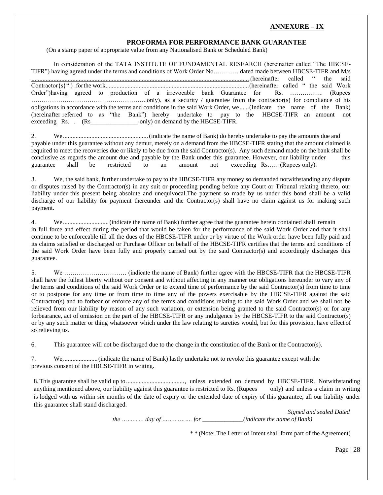#### **ANNEXURE – IX**

#### **PROFORMA FOR PERFORMANCE BANK GUARANTEE**

(On a stamp paper of appropriate value from any Nationalised Bank or Scheduled Bank)

In consideration of the TATA INSTITUTE OF FUNDAMENTAL RESEARCH (hereinafter called "The HBCSE-TIFR") having agreed under the terms and conditions of Work Order No………… dated made between HBCSE-TIFR and M/s ...........................................................................................................................................(hereinafter called " the said Contractor{s}" ) .forthe work...........................................................................................(hereinafter called " the said Work Order")having agreed to production of a irrevocable bank Guarantee for Rs. ……………. (Rupees ………………………………………………..only), as a security / guarantee from the contractor(s) for compliance of his obligations in accordance with the terms and conditions in the said Work Order, we......(Indicate the name of the Bank) (hereinafter referred to as "the Bank") hereby undertake to pay to the HBCSE-TIFR an amount not exceeding Rs. . (Rs\_\_\_\_\_\_\_\_\_\_\_\_\_\_\_-only) on demand by the HBCSE-TIFR.

2. We......................................................(indicate the name of Bank) do hereby undertake to pay the amounts due and payable under this guarantee without any demur, merely on a demand from the HBCSE-TIFR stating that the amount claimed is required to meet the recoveries due or likely to be due from the said Contractor(s). Any such demand made on the bank shall be conclusive as regards the amount due and payable by the Bank under this guarantee. However, our liability under this guarantee shall be restricted to an amount not exceeding Rs……(Rupees only).

3. We, the said bank, further undertake to pay to the HBCSE-TIFR any money so demanded notwithstanding any dispute or disputes raised by the Contractor(s) in any suit or proceeding pending before any Court or Tribunal relating thereto, our liability under this present being absolute and unequivocal.The payment so made by us under this bond shall be a valid discharge of our liability for payment thereunder and the Contractor(s) shall have no claim against us for making such payment.

4. We.............................(indicate the name of Bank) further agree that the guarantee herein contained shall remain in full force and effect during the period that would be taken for the performance of the said Work Order and that it shall continue to be enforceable till all the dues of the HBCSE-TIFR under or by virtue of the Work order have been fully paid and its claims satisfied or discharged or Purchase Officer on behalf of the HBCSE-TIFR certifies that the terms and conditions of the said Work Order have been fully and properly carried out by the said Contractor(s) and accordingly discharges this guarantee.

5. We ………………………… (indicate the name of Bank) further agree with the HBCSE-TIFR that the HBCSE-TIFR shall have the fullest liberty without our consent and without affecting in any manner our obligations hereunder to vary any of the terms and conditions of the said Work Order or to extend time of performance by the said Contractor(s) from time to time or to postpone for any time or from time to time any of the powers exercisable by the HBCSE-TIFR against the said Contractor(s) and to forbear or enforce any of the terms and conditions relating to the said Work Order and we shall not be relieved from our liability by reason of any such variation, or extension being granted to the said Contractor(s) or for any forbearance, act of omission on the part of the HBCSE-TIFR or any indulgence by the HBCSE-TIFR to the said Contractor(s) or by any such matter or thing whatsoever which under the law relating to sureties would, but for this provision, have effect of so relieving us.

6. This guarantee will not be discharged due to the change in the constitution of the Bank or theContractor(s).

7. We,.....................(indicate the name of Bank) lastly undertake not to revoke this guarantee except with the previous consent of the HBCSE-TIFR in writing.

8.This guarantee shall be valid up to....................................., unless extended on demand by HBCSE-TIFR. Notwithstanding anything mentioned above, our liability against this guarantee is restricted to Rs. (Rupees only) and unless a claim in writing is lodged with us within six months of the date of expiry or the extended date of expiry of this guarantee, all our liability under this guarantee shall stand discharged.

> *Signed and sealed Dated the ……....... day of ……....……. for \_\_\_\_\_\_\_\_\_\_\_\_\_(indicate the name of Bank)*

> > \* \* (Note: The Letter of Intent shall form part of the Agreement)

Page | 28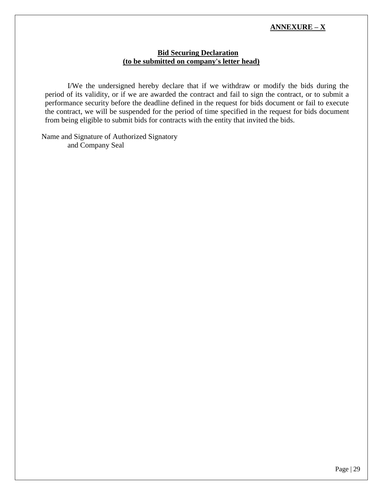### **ANNEXURE – X**

#### **Bid Securing Declaration (to be submitted on company's letter head)**

I/We the undersigned hereby declare that if we withdraw or modify the bids during the period of its validity, or if we are awarded the contract and fail to sign the contract, or to submit a performance security before the deadline defined in the request for bids document or fail to execute the contract, we will be suspended for the period of time specified in the request for bids document from being eligible to submit bids for contracts with the entity that invited the bids.

 Name and Signature of Authorized Signatory and Company Seal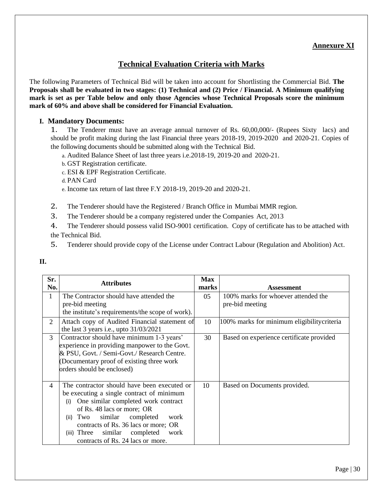## **Annexure XI**

## **Technical Evaluation Criteria with Marks**

The following Parameters of Technical Bid will be taken into account for Shortlisting the Commercial Bid. **The Proposals shall be evaluated in two stages: (1) Technical and (2) Price / Financial. A Minimum qualifying mark is set as per Table below and only those Agencies whose Technical Proposals score the minimum mark of 60% and above shall be considered for Financial Evaluation.**

#### **I. Mandatory Documents:**

1. The Tenderer must have an average annual turnover of Rs. 60,00,000/- (Rupees Sixty lacs) and should be profit making during the last Financial three years 2018-19, 2019-2020 and 2020-21. Copies of the following documents should be submitted along with the Technical Bid.

- a. Audited Balance Sheet of last three years i.e.2018-19, 2019-20 and 2020-21.
- b. GST Registration certificate.
- c. ESI & EPF Registration Certificate.

d. PAN Card

e. Income tax return of last three F.Y 2018-19, 2019-20 and 2020-21.

- 2. The Tenderer should have the Registered / Branch Office in Mumbai MMR region.
- 3. The Tenderer should be a company registered under the Companies Act, 2013

4. The Tenderer should possess valid ISO-9001 certification. Copy of certificate has to be attached with the Technical Bid.

5. Tenderer should provide copy of the License under Contract Labour (Regulation and Abolition) Act.

**II.**

| Sr.<br>No.     | <b>Attributes</b>                                                                                                                                                                                                                                                                                                                         | <b>Max</b><br>marks | <b>Assessment</b>                                      |
|----------------|-------------------------------------------------------------------------------------------------------------------------------------------------------------------------------------------------------------------------------------------------------------------------------------------------------------------------------------------|---------------------|--------------------------------------------------------|
| 1              | The Contractor should have attended the<br>pre-bid meeting                                                                                                                                                                                                                                                                                | 05                  | 100% marks for whoever attended the<br>pre-bid meeting |
|                | the institute's requirements/the scope of work).                                                                                                                                                                                                                                                                                          |                     |                                                        |
| $\overline{2}$ | Attach copy of Audited Financial statement of<br>the last 3 years i.e., upto $31/03/2021$                                                                                                                                                                                                                                                 | 10                  | 100% marks for minimum eligibilitycriteria             |
| 3              | Contractor should have minimum 1-3 years'<br>experience in providing manpower to the Govt.<br>& PSU, Govt. / Semi-Govt./ Research Centre.<br>(Documentary proof of existing three work)<br>orders should be enclosed)                                                                                                                     | 30                  | Based on experience certificate provided               |
| $\overline{4}$ | The contractor should have been executed or<br>be executing a single contract of minimum<br>One similar completed work contract<br>(i)<br>of Rs. 48 lacs or more; OR<br>Two<br>similar<br>completed<br>work<br>(ii)<br>contracts of Rs. 36 lacs or more; OR<br>(iii) Three similar completed<br>work<br>contracts of Rs. 24 lacs or more. | 10                  | Based on Documents provided.                           |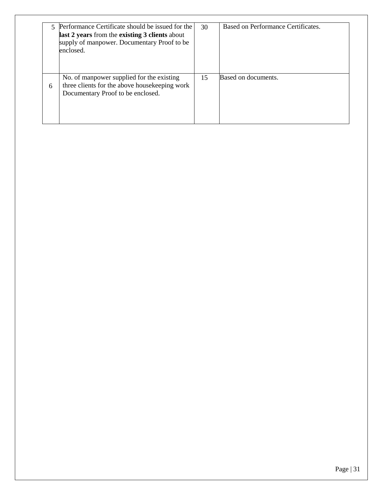|   | 5 Performance Certificate should be issued for the<br>last 2 years from the existing 3 clients about<br>supply of manpower. Documentary Proof to be<br>enclosed. | 30 | Based on Performance Certificates. |
|---|------------------------------------------------------------------------------------------------------------------------------------------------------------------|----|------------------------------------|
| 6 | No. of manpower supplied for the existing<br>three clients for the above housekeeping work<br>Documentary Proof to be enclosed.                                  | 15 | Based on documents.                |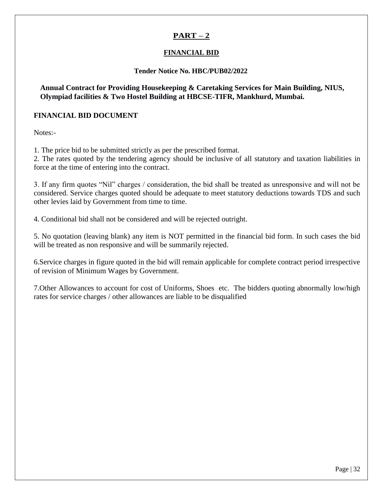## **PART – 2**

## **FINANCIAL BID**

### **Tender Notice No. HBC/PUB02/2022**

**Annual Contract for Providing Housekeeping & Caretaking Services for Main Building, NIUS, Olympiad facilities & Two Hostel Building at HBCSE-TIFR, Mankhurd, Mumbai.**

### **FINANCIAL BID DOCUMENT**

Notes:-

1. The price bid to be submitted strictly as per the prescribed format.

2. The rates quoted by the tendering agency should be inclusive of all statutory and taxation liabilities in force at the time of entering into the contract.

3. If any firm quotes "Nil" charges / consideration, the bid shall be treated as unresponsive and will not be considered. Service charges quoted should be adequate to meet statutory deductions towards TDS and such other levies laid by Government from time to time.

4. Conditional bid shall not be considered and will be rejected outright.

5. No quotation (leaving blank) any item is NOT permitted in the financial bid form. In such cases the bid will be treated as non responsive and will be summarily rejected.

6.Service charges in figure quoted in the bid will remain applicable for complete contract period irrespective of revision of Minimum Wages by Government.

7.Other Allowances to account for cost of Uniforms, Shoes etc. The bidders quoting abnormally low/high rates for service charges / other allowances are liable to be disqualified